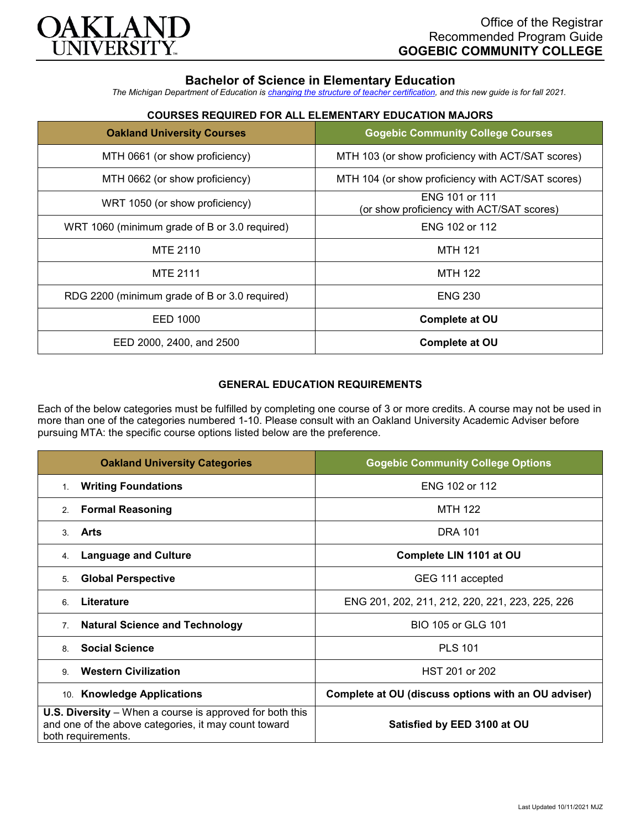

## **Bachelor of Science in Elementary Education**

*The Michigan Department of Education is [changing the structure of teacher certification,](https://docs.google.com/document/d/1W1uUK14Njx6WAB56T4jHbat65OZyg6TS04LdNWMXEcI/edit) and this new guide is for fall 2021.*

# **COURSES REQUIRED FOR ALL ELEMENTARY EDUCATION MAJORS**

| <b>Oakland University Courses</b>             | <b>Gogebic Community College Courses</b>                    |
|-----------------------------------------------|-------------------------------------------------------------|
| MTH 0661 (or show proficiency)                | MTH 103 (or show proficiency with ACT/SAT scores)           |
| MTH 0662 (or show proficiency)                | MTH 104 (or show proficiency with ACT/SAT scores)           |
| WRT 1050 (or show proficiency)                | ENG 101 or 111<br>(or show proficiency with ACT/SAT scores) |
| WRT 1060 (minimum grade of B or 3.0 required) | ENG 102 or 112                                              |
| MTE 2110                                      | <b>MTH 121</b>                                              |
| <b>MTE 2111</b>                               | <b>MTH 122</b>                                              |
| RDG 2200 (minimum grade of B or 3.0 required) | <b>ENG 230</b>                                              |
| EED 1000                                      | Complete at OU                                              |
| EED 2000, 2400, and 2500                      | <b>Complete at OU</b>                                       |

#### **GENERAL EDUCATION REQUIREMENTS**

Each of the below categories must be fulfilled by completing one course of 3 or more credits. A course may not be used in more than one of the categories numbered 1-10. Please consult with an Oakland University Academic Adviser before pursuing MTA: the specific course options listed below are the preference.

| <b>Oakland University Categories</b>                                                                                                          | <b>Gogebic Community College Options</b>            |
|-----------------------------------------------------------------------------------------------------------------------------------------------|-----------------------------------------------------|
| <b>Writing Foundations</b><br>1.                                                                                                              | ENG 102 or 112                                      |
| <b>Formal Reasoning</b><br>2.                                                                                                                 | <b>MTH 122</b>                                      |
| Arts<br>3                                                                                                                                     | <b>DRA 101</b>                                      |
| <b>Language and Culture</b><br>4.                                                                                                             | Complete LIN 1101 at OU                             |
| <b>Global Perspective</b><br>5.                                                                                                               | GEG 111 accepted                                    |
| Literature<br>6                                                                                                                               | ENG 201, 202, 211, 212, 220, 221, 223, 225, 226     |
| <b>Natural Science and Technology</b><br>7 <sub>1</sub>                                                                                       | BIO 105 or GLG 101                                  |
| <b>Social Science</b><br>8                                                                                                                    | <b>PLS 101</b>                                      |
| <b>Western Civilization</b><br>$\mathbf{Q}$                                                                                                   | HST 201 or 202                                      |
| 10. Knowledge Applications                                                                                                                    | Complete at OU (discuss options with an OU adviser) |
| <b>U.S. Diversity</b> – When a course is approved for both this<br>and one of the above categories, it may count toward<br>both requirements. | Satisfied by EED 3100 at OU                         |